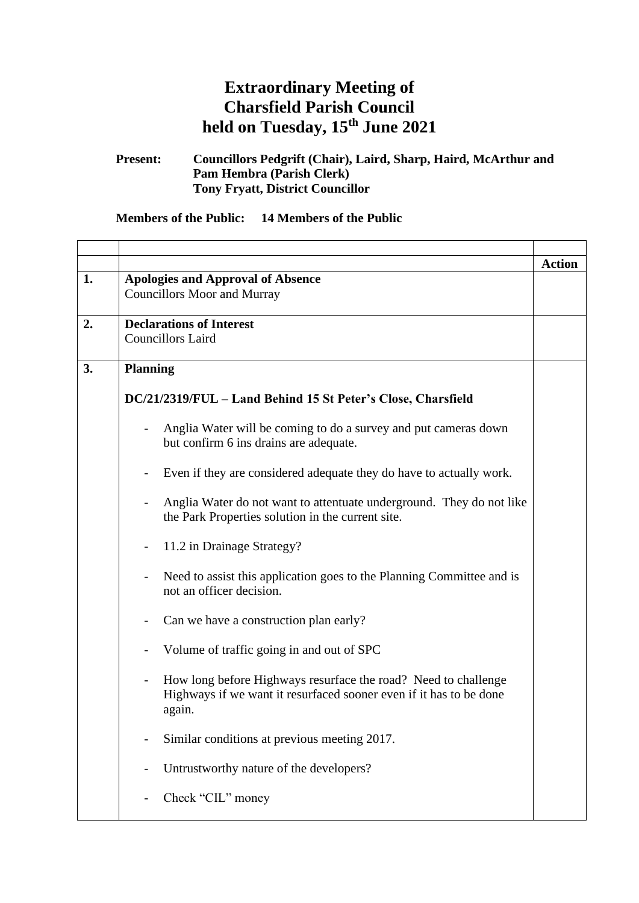## **Extraordinary Meeting of Charsfield Parish Council held on Tuesday, 15th June 2021**

**Present: Councillors Pedgrift (Chair), Laird, Sharp, Haird, McArthur and Pam Hembra (Parish Clerk) Tony Fryatt, District Councillor**

## **Members of the Public: 14 Members of the Public**

r

| 1. | <b>Apologies and Approval of Absence</b>                                                                                                       | <b>Action</b> |
|----|------------------------------------------------------------------------------------------------------------------------------------------------|---------------|
|    | <b>Councillors Moor and Murray</b>                                                                                                             |               |
|    |                                                                                                                                                |               |
| 2. | <b>Declarations of Interest</b>                                                                                                                |               |
|    | <b>Councillors Laird</b>                                                                                                                       |               |
| 3. |                                                                                                                                                |               |
|    | <b>Planning</b>                                                                                                                                |               |
|    | DC/21/2319/FUL - Land Behind 15 St Peter's Close, Charsfield                                                                                   |               |
|    | Anglia Water will be coming to do a survey and put cameras down<br>$\overline{\phantom{0}}$<br>but confirm 6 ins drains are adequate.          |               |
|    | Even if they are considered adequate they do have to actually work.                                                                            |               |
|    | Anglia Water do not want to attentuate underground. They do not like<br>the Park Properties solution in the current site.                      |               |
|    | 11.2 in Drainage Strategy?                                                                                                                     |               |
|    | Need to assist this application goes to the Planning Committee and is<br>not an officer decision.                                              |               |
|    | Can we have a construction plan early?<br>$\overline{\phantom{a}}$                                                                             |               |
|    | Volume of traffic going in and out of SPC                                                                                                      |               |
|    | How long before Highways resurface the road? Need to challenge<br>Highways if we want it resurfaced sooner even if it has to be done<br>again. |               |
|    | Similar conditions at previous meeting 2017.                                                                                                   |               |
|    | Untrustworthy nature of the developers?                                                                                                        |               |
|    | Check "CIL" money                                                                                                                              |               |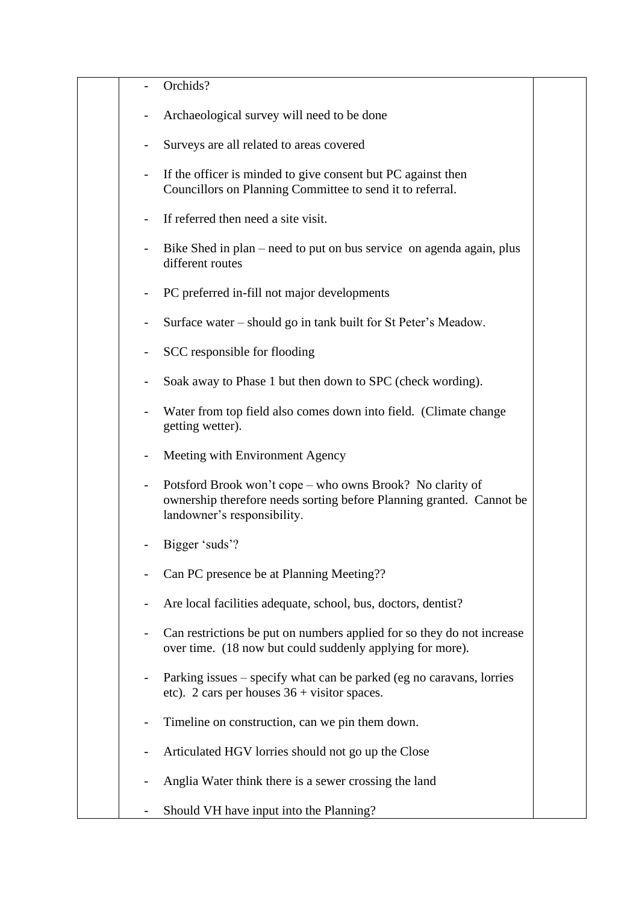|                          | Orchids?                                                                                                                                                         |  |
|--------------------------|------------------------------------------------------------------------------------------------------------------------------------------------------------------|--|
| $\overline{\phantom{0}}$ | Archaeological survey will need to be done                                                                                                                       |  |
|                          | Surveys are all related to areas covered                                                                                                                         |  |
|                          | If the officer is minded to give consent but PC against then<br>Councillors on Planning Committee to send it to referral.                                        |  |
|                          | If referred then need a site visit.                                                                                                                              |  |
|                          | Bike Shed in plan – need to put on bus service on agenda again, plus<br>different routes                                                                         |  |
|                          | PC preferred in-fill not major developments                                                                                                                      |  |
|                          | Surface water – should go in tank built for St Peter's Meadow.                                                                                                   |  |
|                          | SCC responsible for flooding                                                                                                                                     |  |
|                          | Soak away to Phase 1 but then down to SPC (check wording).                                                                                                       |  |
|                          | Water from top field also comes down into field. (Climate change<br>getting wetter).                                                                             |  |
|                          | Meeting with Environment Agency                                                                                                                                  |  |
|                          | Potsford Brook won't cope – who owns Brook? No clarity of<br>ownership therefore needs sorting before Planning granted. Cannot be<br>landowner's responsibility. |  |
|                          | Bigger 'suds'?                                                                                                                                                   |  |
|                          | Can PC presence be at Planning Meeting??                                                                                                                         |  |
|                          | Are local facilities adequate, school, bus, doctors, dentist?                                                                                                    |  |
|                          | Can restrictions be put on numbers applied for so they do not increase<br>over time. (18 now but could suddenly applying for more).                              |  |
|                          | Parking issues – specify what can be parked (eg no caravans, lorries<br>etc). 2 cars per houses $36 +$ visitor spaces.                                           |  |
|                          | Timeline on construction, can we pin them down.                                                                                                                  |  |
|                          | Articulated HGV lorries should not go up the Close                                                                                                               |  |
|                          | Anglia Water think there is a sewer crossing the land                                                                                                            |  |
|                          | Should VH have input into the Planning?                                                                                                                          |  |